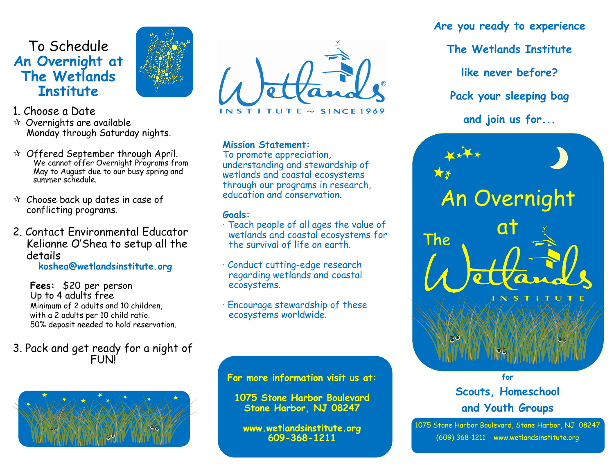## To Schedule **An Overnight at The Wetlands Institute**



### 1. Choose a Date

- $\hat{X}$  Overnights are available Monday through Saturday nights.
- $\mathcal{R}$  Offered September through April. We cannot offer Overnight Programs from May to August due to our busy spring and summer schedule.
- $\alpha$  Choose back up dates in case of conflicting programs.
- 2. Contact Environmental Educator Kelianne O'Shea to setup all the details

**koshea@wetlandsinstitute.org**

**Fees:** \$20 per person Up to 4 adults free Minimum of 2 adults and 10 children, with a 2 adults per 10 child ratio. 50% deposit needed to hold reservation.

3. Pack and get ready for a night of FUN!





#### **Mission Statement:**

To promote appreciation, understanding and stewardship of wetlands and coastal ecosystems through our programs in research, education and conservation.

#### **Goals:**

- · Teach people of all ages the value of wetlands and coastal ecosystems for the survival of life on earth.
- · Conduct cutting-edge research regarding wetlands and coastal ecosystems.
- · Encourage stewardship of these ecosystems worldwide.

**For more information visit us at:**

**1075 Stone Harbor Boulevard Stone Harbor, NJ 08247**

**www.wetlandsinstitute.org 609-368-1211**

**Are you ready to experience The Wetlands Institute like never before? Pack your sleeping bag and join us for...**



**Scouts, Homeschool and Youth Groups** 

1075 Stone Harbor Boulevard, Stone Harbor, NJ 08247 (609) 368-1211 www.wetlandsinstitute.org